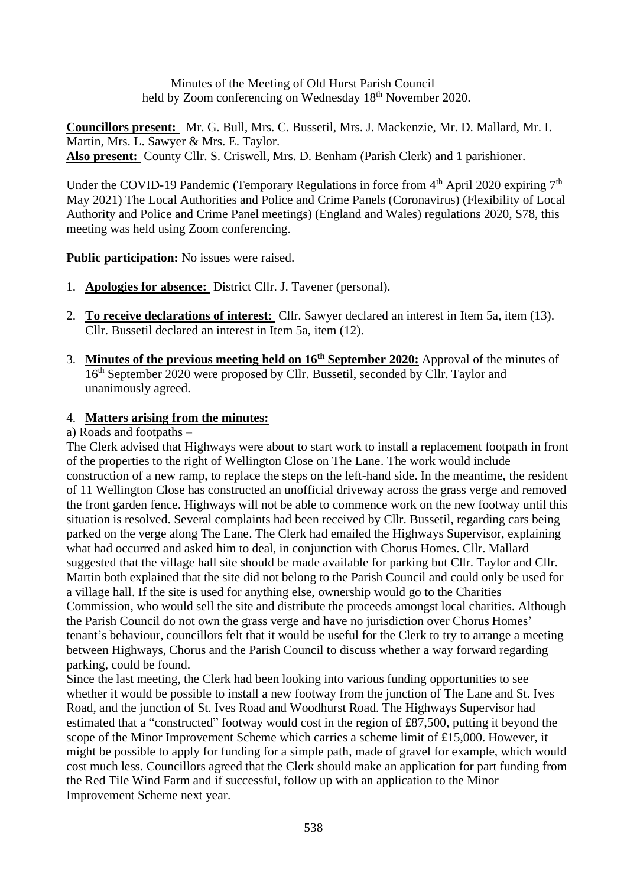Minutes of the Meeting of Old Hurst Parish Council held by Zoom conferencing on Wednesday 18<sup>th</sup> November 2020.

**Councillors present:** Mr. G. Bull, Mrs. C. Bussetil, Mrs. J. Mackenzie, Mr. D. Mallard, Mr. I. Martin, Mrs. L. Sawyer & Mrs. E. Taylor. **Also present:** County Cllr. S. Criswell, Mrs. D. Benham (Parish Clerk) and 1 parishioner.

Under the COVID-19 Pandemic (Temporary Regulations in force from  $4<sup>th</sup>$  April 2020 expiring  $7<sup>th</sup>$ May 2021) The Local Authorities and Police and Crime Panels (Coronavirus) (Flexibility of Local Authority and Police and Crime Panel meetings) (England and Wales) regulations 2020, S78, this meeting was held using Zoom conferencing.

**Public participation:** No issues were raised.

- 1. **Apologies for absence:** District Cllr. J. Tavener (personal).
- 2. **To receive declarations of interest:** Cllr. Sawyer declared an interest in Item 5a, item (13). Cllr. Bussetil declared an interest in Item 5a, item (12).
- 3. **Minutes of the previous meeting held on 16th September 2020:** Approval of the minutes of 16<sup>th</sup> September 2020 were proposed by Cllr. Bussetil, seconded by Cllr. Taylor and unanimously agreed.

### 4. **Matters arising from the minutes:**

#### a) Roads and footpaths –

The Clerk advised that Highways were about to start work to install a replacement footpath in front of the properties to the right of Wellington Close on The Lane. The work would include construction of a new ramp, to replace the steps on the left-hand side. In the meantime, the resident of 11 Wellington Close has constructed an unofficial driveway across the grass verge and removed the front garden fence. Highways will not be able to commence work on the new footway until this situation is resolved. Several complaints had been received by Cllr. Bussetil, regarding cars being parked on the verge along The Lane. The Clerk had emailed the Highways Supervisor, explaining what had occurred and asked him to deal, in conjunction with Chorus Homes. Cllr. Mallard suggested that the village hall site should be made available for parking but Cllr. Taylor and Cllr. Martin both explained that the site did not belong to the Parish Council and could only be used for a village hall. If the site is used for anything else, ownership would go to the Charities Commission, who would sell the site and distribute the proceeds amongst local charities. Although the Parish Council do not own the grass verge and have no jurisdiction over Chorus Homes' tenant's behaviour, councillors felt that it would be useful for the Clerk to try to arrange a meeting between Highways, Chorus and the Parish Council to discuss whether a way forward regarding parking, could be found.

Since the last meeting, the Clerk had been looking into various funding opportunities to see whether it would be possible to install a new footway from the junction of The Lane and St. Ives Road, and the junction of St. Ives Road and Woodhurst Road. The Highways Supervisor had estimated that a "constructed" footway would cost in the region of £87,500, putting it beyond the scope of the Minor Improvement Scheme which carries a scheme limit of £15,000. However, it might be possible to apply for funding for a simple path, made of gravel for example, which would cost much less. Councillors agreed that the Clerk should make an application for part funding from the Red Tile Wind Farm and if successful, follow up with an application to the Minor Improvement Scheme next year.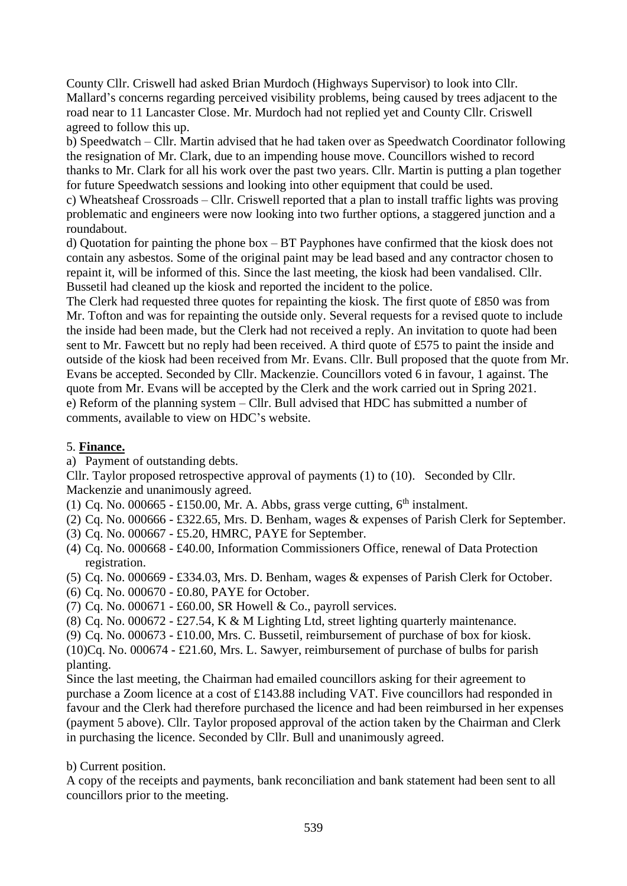County Cllr. Criswell had asked Brian Murdoch (Highways Supervisor) to look into Cllr. Mallard's concerns regarding perceived visibility problems, being caused by trees adjacent to the road near to 11 Lancaster Close. Mr. Murdoch had not replied yet and County Cllr. Criswell agreed to follow this up.

b) Speedwatch – Cllr. Martin advised that he had taken over as Speedwatch Coordinator following the resignation of Mr. Clark, due to an impending house move. Councillors wished to record thanks to Mr. Clark for all his work over the past two years. Cllr. Martin is putting a plan together for future Speedwatch sessions and looking into other equipment that could be used.

c) Wheatsheaf Crossroads – Cllr. Criswell reported that a plan to install traffic lights was proving problematic and engineers were now looking into two further options, a staggered junction and a roundabout.

d) Quotation for painting the phone box – BT Payphones have confirmed that the kiosk does not contain any asbestos. Some of the original paint may be lead based and any contractor chosen to repaint it, will be informed of this. Since the last meeting, the kiosk had been vandalised. Cllr. Bussetil had cleaned up the kiosk and reported the incident to the police.

The Clerk had requested three quotes for repainting the kiosk. The first quote of £850 was from Mr. Tofton and was for repainting the outside only. Several requests for a revised quote to include the inside had been made, but the Clerk had not received a reply. An invitation to quote had been sent to Mr. Fawcett but no reply had been received. A third quote of £575 to paint the inside and outside of the kiosk had been received from Mr. Evans. Cllr. Bull proposed that the quote from Mr. Evans be accepted. Seconded by Cllr. Mackenzie. Councillors voted 6 in favour, 1 against. The quote from Mr. Evans will be accepted by the Clerk and the work carried out in Spring 2021. e) Reform of the planning system – Cllr. Bull advised that HDC has submitted a number of comments, available to view on HDC's website.

## 5. **Finance.**

a) Payment of outstanding debts.

Cllr. Taylor proposed retrospective approval of payments (1) to (10). Seconded by Cllr. Mackenzie and unanimously agreed.

- (1) Cq. No. 000665 £150.00, Mr. A. Abbs, grass verge cutting,  $6<sup>th</sup>$  instalment.
- (2) Cq. No. 000666 £322.65, Mrs. D. Benham, wages & expenses of Parish Clerk for September.
- (3) Cq. No. 000667 £5.20, HMRC, PAYE for September.
- (4) Cq. No. 000668 £40.00, Information Commissioners Office, renewal of Data Protection registration.
- (5) Cq. No. 000669 £334.03, Mrs. D. Benham, wages & expenses of Parish Clerk for October.
- (6) Cq. No. 000670 £0.80, PAYE for October.
- (7) Cq. No. 000671 £60.00, SR Howell & Co., payroll services.
- (8) Cq. No. 000672 £27.54, K & M Lighting Ltd, street lighting quarterly maintenance.
- (9) Cq. No. 000673 £10.00, Mrs. C. Bussetil, reimbursement of purchase of box for kiosk.
- (10)Cq. No. 000674 £21.60, Mrs. L. Sawyer, reimbursement of purchase of bulbs for parish planting.

Since the last meeting, the Chairman had emailed councillors asking for their agreement to purchase a Zoom licence at a cost of £143.88 including VAT. Five councillors had responded in favour and the Clerk had therefore purchased the licence and had been reimbursed in her expenses (payment 5 above). Cllr. Taylor proposed approval of the action taken by the Chairman and Clerk in purchasing the licence. Seconded by Cllr. Bull and unanimously agreed.

b) Current position.

A copy of the receipts and payments, bank reconciliation and bank statement had been sent to all councillors prior to the meeting.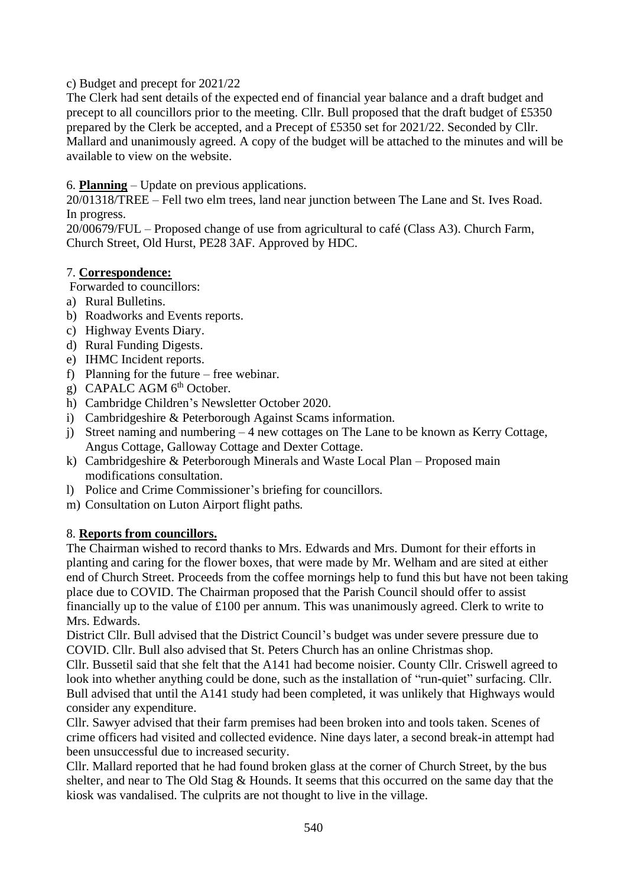c) Budget and precept for 2021/22

The Clerk had sent details of the expected end of financial year balance and a draft budget and precept to all councillors prior to the meeting. Cllr. Bull proposed that the draft budget of £5350 prepared by the Clerk be accepted, and a Precept of £5350 set for 2021/22. Seconded by Cllr. Mallard and unanimously agreed. A copy of the budget will be attached to the minutes and will be available to view on the website.

# 6. **Planning** – Update on previous applications.

20/01318/TREE – Fell two elm trees, land near junction between The Lane and St. Ives Road. In progress.

20/00679/FUL – Proposed change of use from agricultural to café (Class A3). Church Farm, Church Street, Old Hurst, PE28 3AF. Approved by HDC.

## 7. **Correspondence:**

Forwarded to councillors:

- a) Rural Bulletins.
- b) Roadworks and Events reports.
- c) Highway Events Diary.
- d) Rural Funding Digests.
- e) IHMC Incident reports.
- f) Planning for the future free webinar.
- g) CAPALC AGM  $6<sup>th</sup>$  October.
- h) Cambridge Children's Newsletter October 2020.
- i) Cambridgeshire & Peterborough Against Scams information.
- j) Street naming and numbering 4 new cottages on The Lane to be known as Kerry Cottage, Angus Cottage, Galloway Cottage and Dexter Cottage.
- k) Cambridgeshire & Peterborough Minerals and Waste Local Plan Proposed main modifications consultation.
- l) Police and Crime Commissioner's briefing for councillors.
- m) Consultation on Luton Airport flight paths.

## 8. **Reports from councillors.**

The Chairman wished to record thanks to Mrs. Edwards and Mrs. Dumont for their efforts in planting and caring for the flower boxes, that were made by Mr. Welham and are sited at either end of Church Street. Proceeds from the coffee mornings help to fund this but have not been taking place due to COVID. The Chairman proposed that the Parish Council should offer to assist financially up to the value of £100 per annum. This was unanimously agreed. Clerk to write to Mrs. Edwards.

District Cllr. Bull advised that the District Council's budget was under severe pressure due to COVID. Cllr. Bull also advised that St. Peters Church has an online Christmas shop.

Cllr. Bussetil said that she felt that the A141 had become noisier. County Cllr. Criswell agreed to look into whether anything could be done, such as the installation of "run-quiet" surfacing. Cllr. Bull advised that until the A141 study had been completed, it was unlikely that Highways would consider any expenditure.

Cllr. Sawyer advised that their farm premises had been broken into and tools taken. Scenes of crime officers had visited and collected evidence. Nine days later, a second break-in attempt had been unsuccessful due to increased security.

Cllr. Mallard reported that he had found broken glass at the corner of Church Street, by the bus shelter, and near to The Old Stag & Hounds. It seems that this occurred on the same day that the kiosk was vandalised. The culprits are not thought to live in the village.